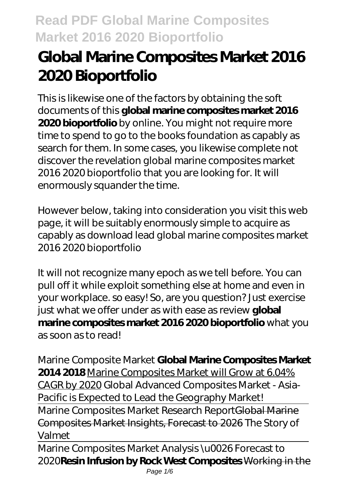# **Global Marine Composites Market 2016 2020 Bioportfolio**

This is likewise one of the factors by obtaining the soft documents of this **global marine composites market 2016 2020 bioportfolio** by online. You might not require more time to spend to go to the books foundation as capably as search for them. In some cases, you likewise complete not discover the revelation global marine composites market 2016 2020 bioportfolio that you are looking for. It will enormously squander the time.

However below, taking into consideration you visit this web page, it will be suitably enormously simple to acquire as capably as download lead global marine composites market 2016 2020 bioportfolio

It will not recognize many epoch as we tell before. You can pull off it while exploit something else at home and even in your workplace. so easy! So, are you question? Just exercise just what we offer under as with ease as review **global marine composites market 2016 2020 bioportfolio** what you as soon as to read!

Marine Composite Market **Global Marine Composites Market 2014 2018** Marine Composites Market will Grow at 6.04% CAGR by 2020 Global Advanced Composites Market - Asia-Pacific is Expected to Lead the Geography Market! Marine Composites Market Research ReportGlobal Marine Composites Market Insights, Forecast to 2026 *The Story of Valmet*

Marine Composites Market Analysis \u0026 Forecast to 2020**Resin Infusion by Rock West Composites** Working in the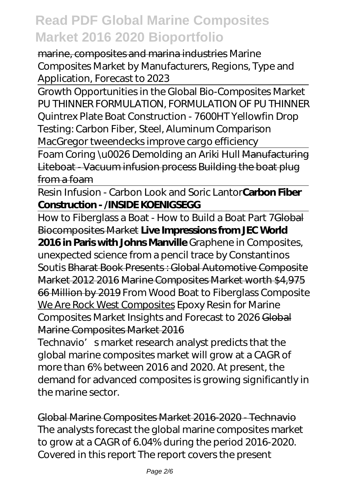marine, composites and marina industries *Marine Composites Market by Manufacturers, Regions, Type and Application, Forecast to 2023*

Growth Opportunities in the Global Bio-Composites Market PU THINNER FORMULATION, FORMULATION OF PU THINNER Quintrex Plate Boat Construction - 7600HT Yellowfin Drop Testing: Carbon Fiber, Steel, Aluminum Comparison MacGregor tweendecks improve cargo efficiency

Foam Coring \u0026 Demolding an Ariki Hull Manufacturing Liteboat - Vacuum infusion process Building the boat plug from a foam

Resin Infusion - Carbon Look and Soric Lantor**Carbon Fiber Construction - /INSIDE KOENIGSEGG**

How to Fiberglass a Boat - How to Build a Boat Part 7Global Biocomposites Market **Live Impressions from JEC World 2016 in Paris with Johns Manville** *Graphene in Composites, unexpected science from a pencil trace by Constantinos Soutis* Bharat Book Presents : Global Automotive Composite Market 2012 2016 Marine Composites Market worth \$4,975 66 Million by 2019 From Wood Boat to Fiberglass Composite We Are Rock West Composites *Epoxy Resin for Marine Composites Market Insights and Forecast to 2026* Global Marine Composites Market 2016

Technavio' smarket research analyst predicts that the global marine composites market will grow at a CAGR of more than 6% between 2016 and 2020. At present, the demand for advanced composites is growing significantly in the marine sector.

Global Marine Composites Market 2016-2020 - Technavio The analysts forecast the global marine composites market to grow at a CAGR of 6.04% during the period 2016-2020. Covered in this report The report covers the present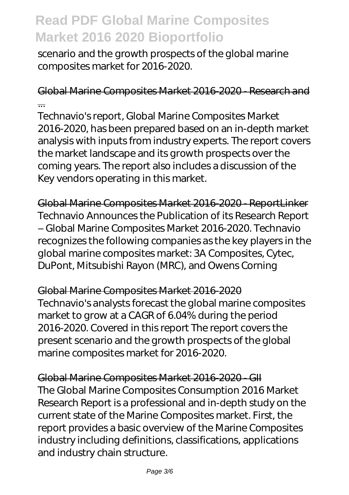scenario and the growth prospects of the global marine composites market for 2016-2020.

Global Marine Composites Market 2016-2020 - Research and ...

Technavio's report, Global Marine Composites Market 2016-2020, has been prepared based on an in-depth market analysis with inputs from industry experts. The report covers the market landscape and its growth prospects over the coming years. The report also includes a discussion of the Key vendors operating in this market.

Global Marine Composites Market 2016-2020 - ReportLinker Technavio Announces the Publication of its Research Report – Global Marine Composites Market 2016-2020. Technavio recognizes the following companies as the key players in the global marine composites market: 3A Composites, Cytec, DuPont, Mitsubishi Rayon (MRC), and Owens Corning

Global Marine Composites Market 2016-2020 Technavio's analysts forecast the global marine composites market to grow at a CAGR of 6.04% during the period 2016-2020. Covered in this report The report covers the present scenario and the growth prospects of the global marine composites market for 2016-2020.

Global Marine Composites Market 2016-2020 - GII The Global Marine Composites Consumption 2016 Market Research Report is a professional and in-depth study on the current state of the Marine Composites market. First, the report provides a basic overview of the Marine Composites industry including definitions, classifications, applications and industry chain structure.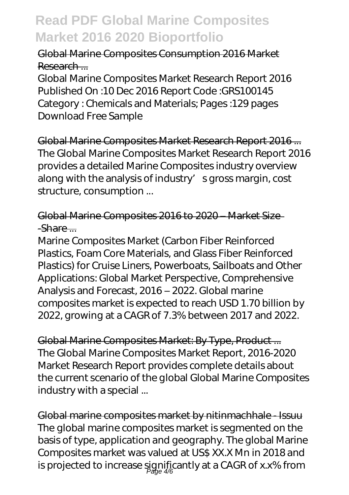#### Global Marine Composites Consumption 2016 Market Research ...

Global Marine Composites Market Research Report 2016 Published On :10 Dec 2016 Report Code :GRS100145 Category : Chemicals and Materials; Pages :129 pages Download Free Sample

Global Marine Composites Market Research Report 2016 ... The Global Marine Composites Market Research Report 2016 provides a detailed Marine Composites industry overview along with the analysis of industry' s gross margin, cost structure, consumption ...

#### Global Marine Composites 2016 to 2020 – Market Size  $-$ Share  $-$

Marine Composites Market (Carbon Fiber Reinforced Plastics, Foam Core Materials, and Glass Fiber Reinforced Plastics) for Cruise Liners, Powerboats, Sailboats and Other Applications: Global Market Perspective, Comprehensive Analysis and Forecast, 2016 – 2022. Global marine composites market is expected to reach USD 1.70 billion by 2022, growing at a CAGR of 7.3% between 2017 and 2022.

Global Marine Composites Market: By Type, Product ... The Global Marine Composites Market Report, 2016-2020 Market Research Report provides complete details about the current scenario of the global Global Marine Composites industry with a special ...

Global marine composites market by nitinmachhale - Issuu The global marine composites market is segmented on the basis of type, application and geography. The global Marine Composites market was valued at US\$ XX.X Mn in 2018 and is projected to increase significantly at a CAGR of x.x% from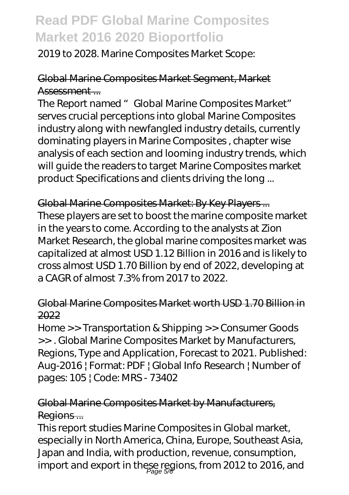2019 to 2028. Marine Composites Market Scope:

### Global Marine Composites Market Segment, Market Assessment ...

The Report named " Global Marine Composites Market" serves crucial perceptions into global Marine Composites industry along with newfangled industry details, currently dominating players in Marine Composites , chapter wise analysis of each section and looming industry trends, which will guide the readers to target Marine Composites market product Specifications and clients driving the long ...

Global Marine Composites Market: By Key Players ... These players are set to boost the marine composite market in the years to come. According to the analysts at Zion Market Research, the global marine composites market was capitalized at almost USD 1.12 Billion in 2016 and is likely to cross almost USD 1.70 Billion by end of 2022, developing at a CAGR of almost 7.3% from 2017 to 2022.

#### Global Marine Composites Market worth USD 1.70 Billion in 2022

Home >> Transportation & Shipping >> Consumer Goods >> . Global Marine Composites Market by Manufacturers, Regions, Type and Application, Forecast to 2021. Published: Aug-2016 | Format: PDF | Global Info Research | Number of pages: 105 | Code: MRS - 73402

#### Global Marine Composites Market by Manufacturers, Regions...

This report studies Marine Composites in Global market, especially in North America, China, Europe, Southeast Asia, Japan and India, with production, revenue, consumption, import and export in these regions, from 2012 to 2016, and